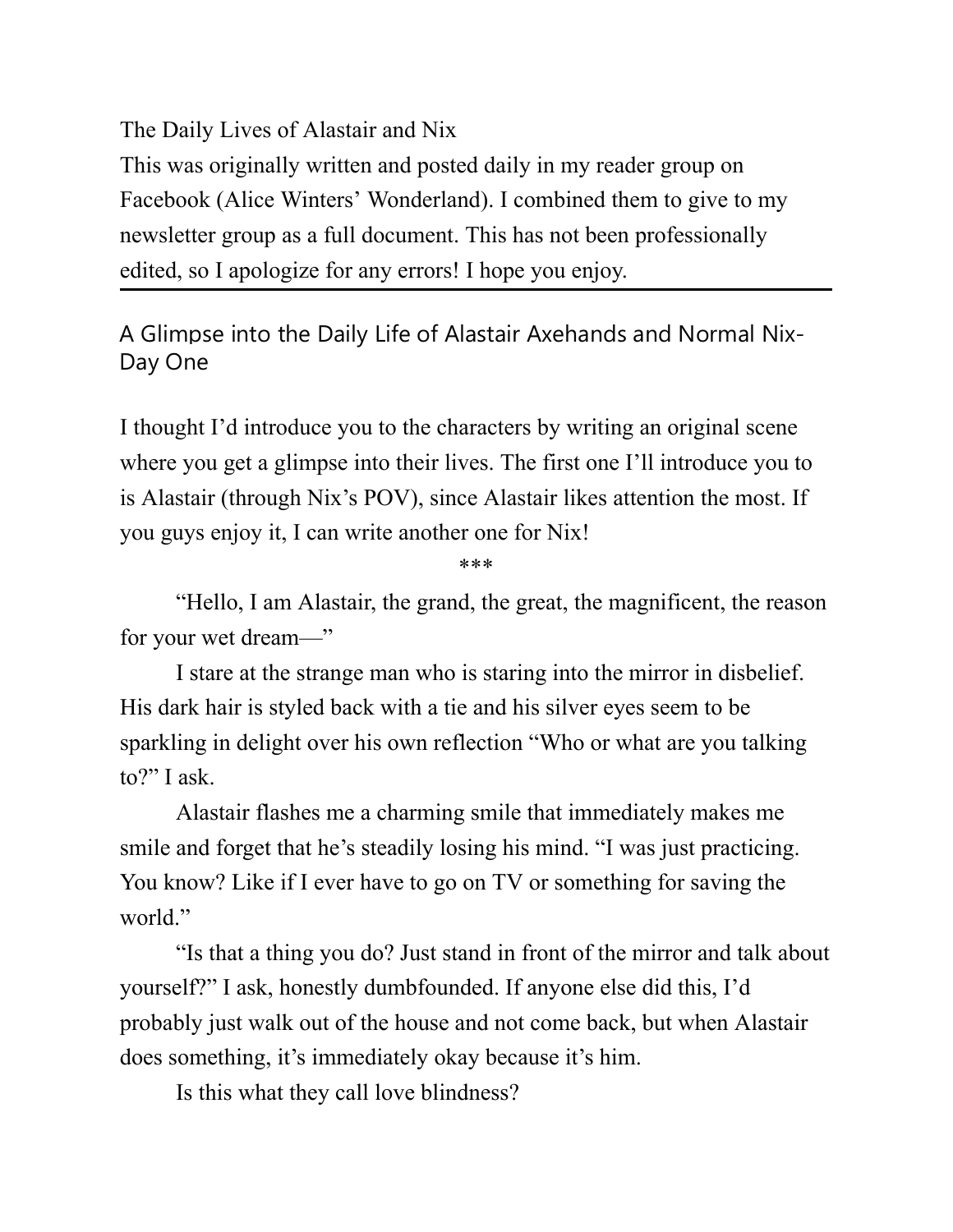The Daily Lives of Alastair and Nix

This was originally written and posted daily in my reader group on Facebook (Alice Winters' Wonderland). I combined them to give to my newsletter group as a full document. This has not been professionally edited, so I apologize for any errors! I hope you enjoy.

A Glimpse into the Daily Life of Alastair Axehands and Normal Nix-Day One

I thought I'd introduce you to the characters by writing an original scene where you get a glimpse into their lives. The first one I'll introduce you to is Alastair (through Nix's POV), since Alastair likes attention the most. If you guys enjoy it, I can write another one for Nix!

\*\*\*

"Hello, I am Alastair, the grand, the great, the magnificent, the reason for your wet dream—"

I stare at the strange man who is staring into the mirror in disbelief. His dark hair is styled back with a tie and his silver eyes seem to be sparkling in delight over his own reflection "Who or what are you talking to?" I ask.

Alastair flashes me a charming smile that immediately makes me smile and forget that he's steadily losing his mind. "I was just practicing. You know? Like if I ever have to go on TV or something for saving the world."

"Is that a thing you do? Just stand in front of the mirror and talk about yourself?" I ask, honestly dumbfounded. If anyone else did this, I'd probably just walk out of the house and not come back, but when Alastair does something, it's immediately okay because it's him.

Is this what they call love blindness?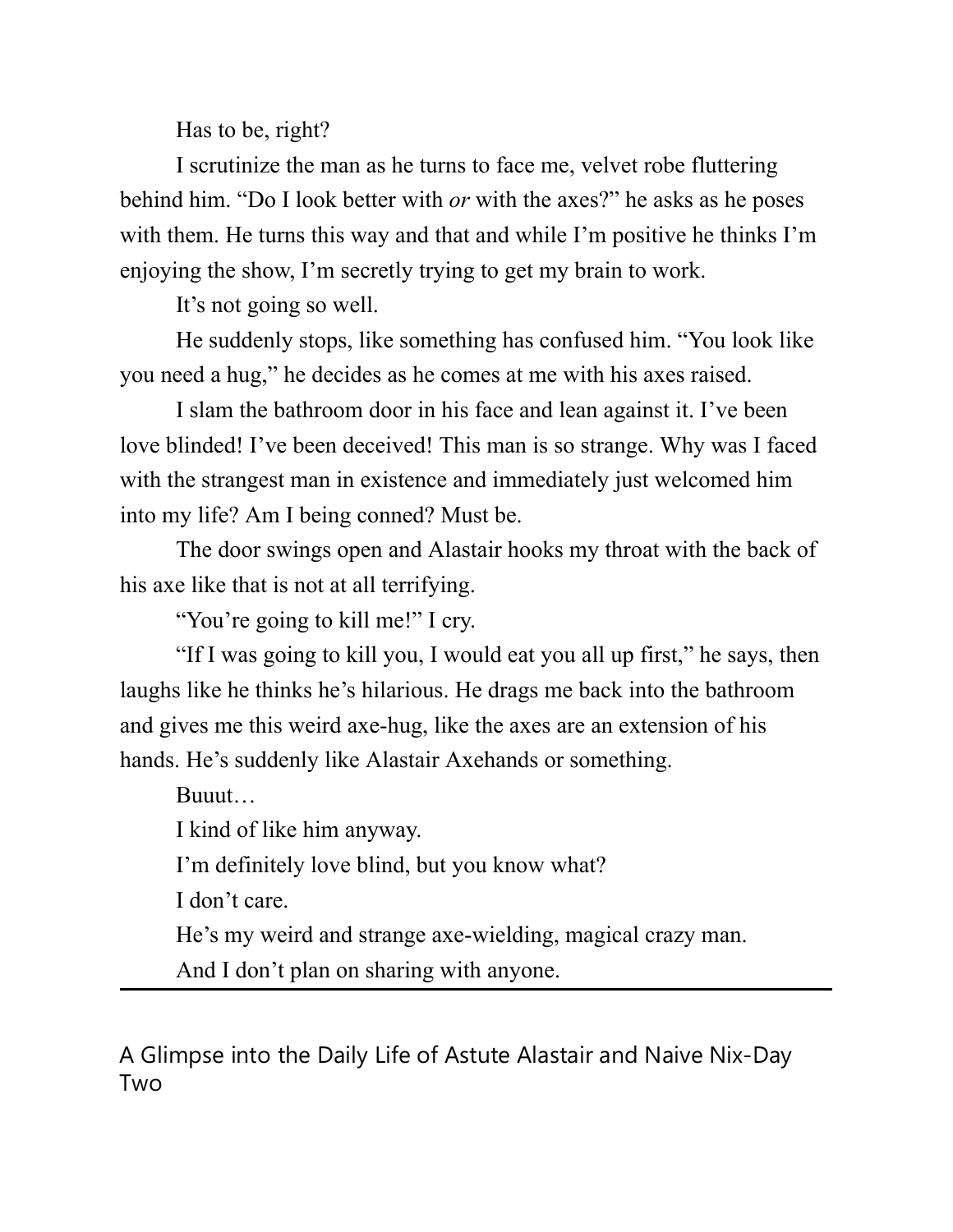Has to be, right?

I scrutinize the man as he turns to face me, velvet robe fluttering behind him. "Do I look better with *or* with the axes?" he asks as he poses with them. He turns this way and that and while I'm positive he thinks I'm enjoying the show, I'm secretly trying to get my brain to work.

It's not going so well.

He suddenly stops, like something has confused him. "You look like you need a hug," he decides as he comes at me with his axes raised.

I slam the bathroom door in his face and lean against it. I've been love blinded! I've been deceived! This man is so strange. Why was I faced with the strangest man in existence and immediately just welcomed him into my life? Am I being conned? Must be.

The door swings open and Alastair hooks my throat with the back of his axe like that is not at all terrifying.

"You're going to kill me!" I cry.

"If I was going to kill you, I would eat you all up first," he says, then laughs like he thinks he's hilarious. He drags me back into the bathroom and gives me this weird axe-hug, like the axes are an extension of his hands. He's suddenly like Alastair Axehands or something.

Buuut…

I kind of like him anyway.

I'm definitely love blind, but you know what?

I don't care.

He's my weird and strange axe-wielding, magical crazy man.

And I don't plan on sharing with anyone.

A Glimpse into the Daily Life of Astute Alastair and Naive Nix-Day Two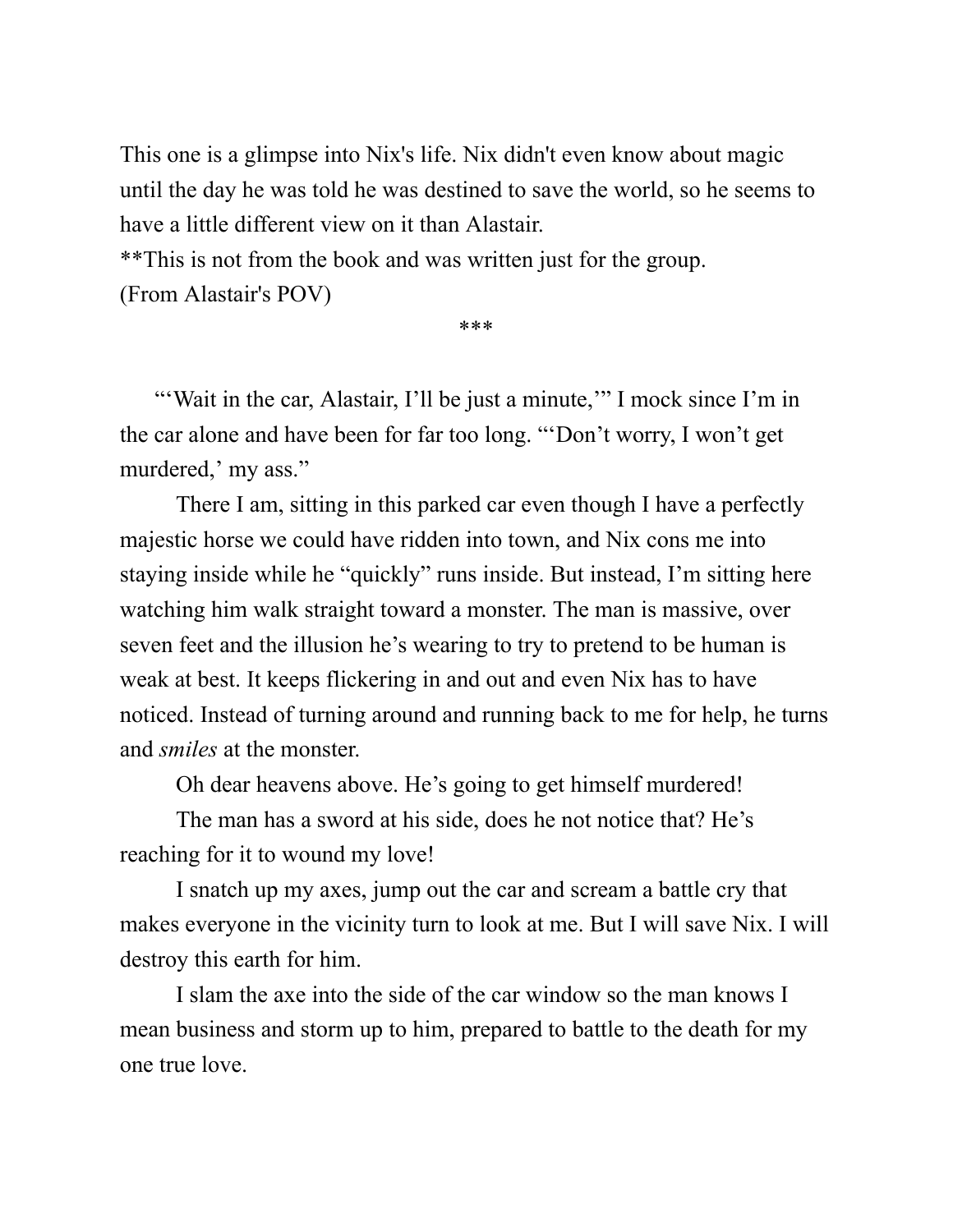This one is a glimpse into Nix's life. Nix didn't even know about magic until the day he was told he was destined to save the world, so he seems to have a little different view on it than Alastair.

\*\*This is not from the book and was written just for the group.

(From Alastair's POV)

\*\*\*

"'Wait in the car, Alastair, I'll be just a minute," I mock since I'm in the car alone and have been for far too long. "'Don't worry, I won't get murdered,' my ass."

There I am, sitting in this parked car even though I have a perfectly majestic horse we could have ridden into town, and Nix cons me into staying inside while he "quickly" runs inside. But instead, I'm sitting here watching him walk straight toward a monster. The man is massive, over seven feet and the illusion he's wearing to try to pretend to be human is weak at best. It keeps flickering in and out and even Nix has to have noticed. Instead of turning around and running back to me for help, he turns and *smiles* at the monster.

Oh dear heavens above. He's going to get himself murdered!

The man has a sword at his side, does he not notice that? He's reaching for it to wound my love!

I snatch up my axes, jump out the car and scream a battle cry that makes everyone in the vicinity turn to look at me. But I will save Nix. I will destroy this earth for him.

I slam the axe into the side of the car window so the man knows I mean business and storm up to him, prepared to battle to the death for my one true love.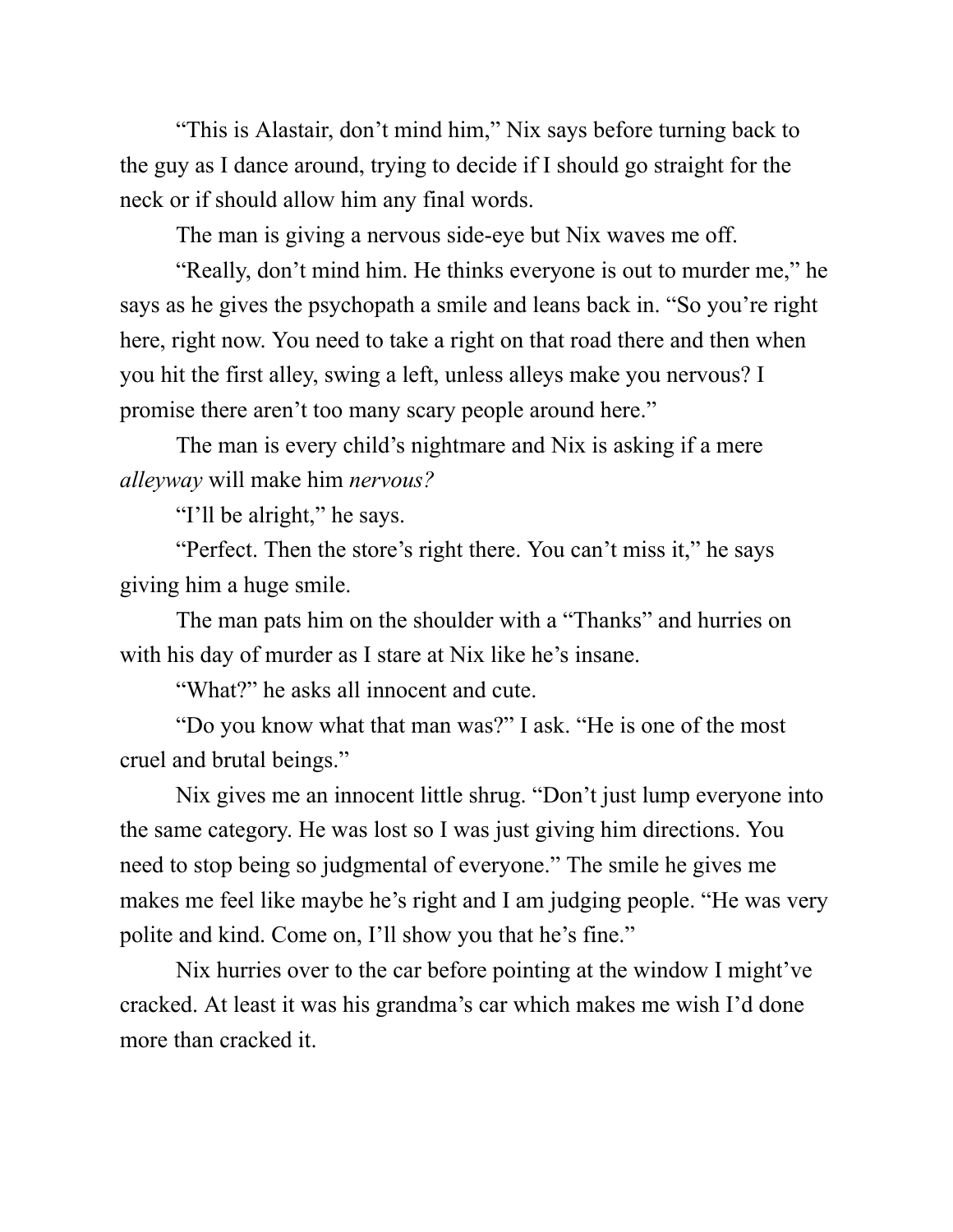"This is Alastair, don't mind him," Nix says before turning back to the guy as I dance around, trying to decide if I should go straight for the neck or if should allow him any final words.

The man is giving a nervous side-eye but Nix waves me off.

"Really, don't mind him. He thinks everyone is out to murder me," he says as he gives the psychopath a smile and leans back in. "So you're right here, right now. You need to take a right on that road there and then when you hit the first alley, swing a left, unless alleys make you nervous? I promise there aren't too many scary people around here."

The man is every child's nightmare and Nix is asking if a mere *alleyway* will make him *nervous?*

"I'll be alright," he says.

"Perfect. Then the store's right there. You can't miss it," he says giving him a huge smile.

The man pats him on the shoulder with a "Thanks" and hurries on with his day of murder as I stare at Nix like he's insane.

"What?" he asks all innocent and cute.

"Do you know what that man was?" I ask. "He is one of the most cruel and brutal beings."

Nix gives me an innocent little shrug. "Don't just lump everyone into the same category. He was lost so I was just giving him directions. You need to stop being so judgmental of everyone." The smile he gives me makes me feel like maybe he's right and I am judging people. "He was very polite and kind. Come on, I'll show you that he's fine."

Nix hurries over to the car before pointing at the window I might've cracked. At least it was his grandma's car which makes me wish I'd done more than cracked it.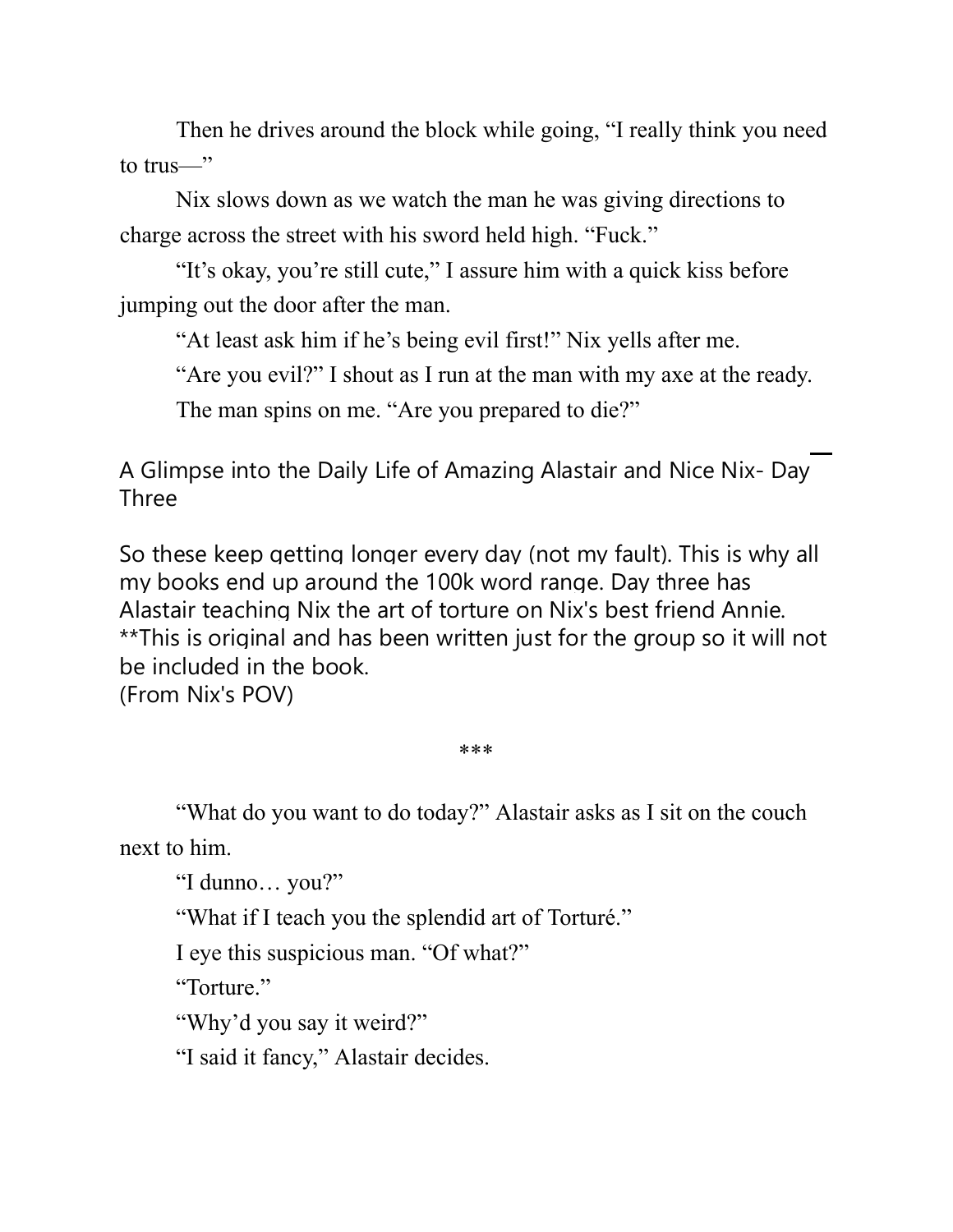Then he drives around the block while going, "I really think you need to trus—"

Nix slows down as we watch the man he was giving directions to charge across the street with his sword held high. "Fuck."

"It's okay, you're still cute," I assure him with a quick kiss before jumping out the door after the man.

"At least ask him if he's being evil first!" Nix yells after me.

"Are you evil?" I shout as I run at the man with my axe at the ready.

The man spins on me. "Are you prepared to die?"

A Glimpse into the Daily Life of Amazing Alastair and Nice Nix- Day Three

So these keep getting longer every day (not my fault). This is why all my books end up around the 100k word range. Day three has Alastair teaching Nix the art of torture on Nix's best friend Annie. \*\*This is original and has been written just for the group so it will not be included in the book. (From Nix's POV)

\*\*\*

"What do you want to do today?" Alastair asks as I sit on the couch next to him.

"I dunno… you?"

"What if I teach you the splendid art of Torturé."

I eye this suspicious man. "Of what?"

"Torture."

"Why'd you say it weird?"

"I said it fancy," Alastair decides.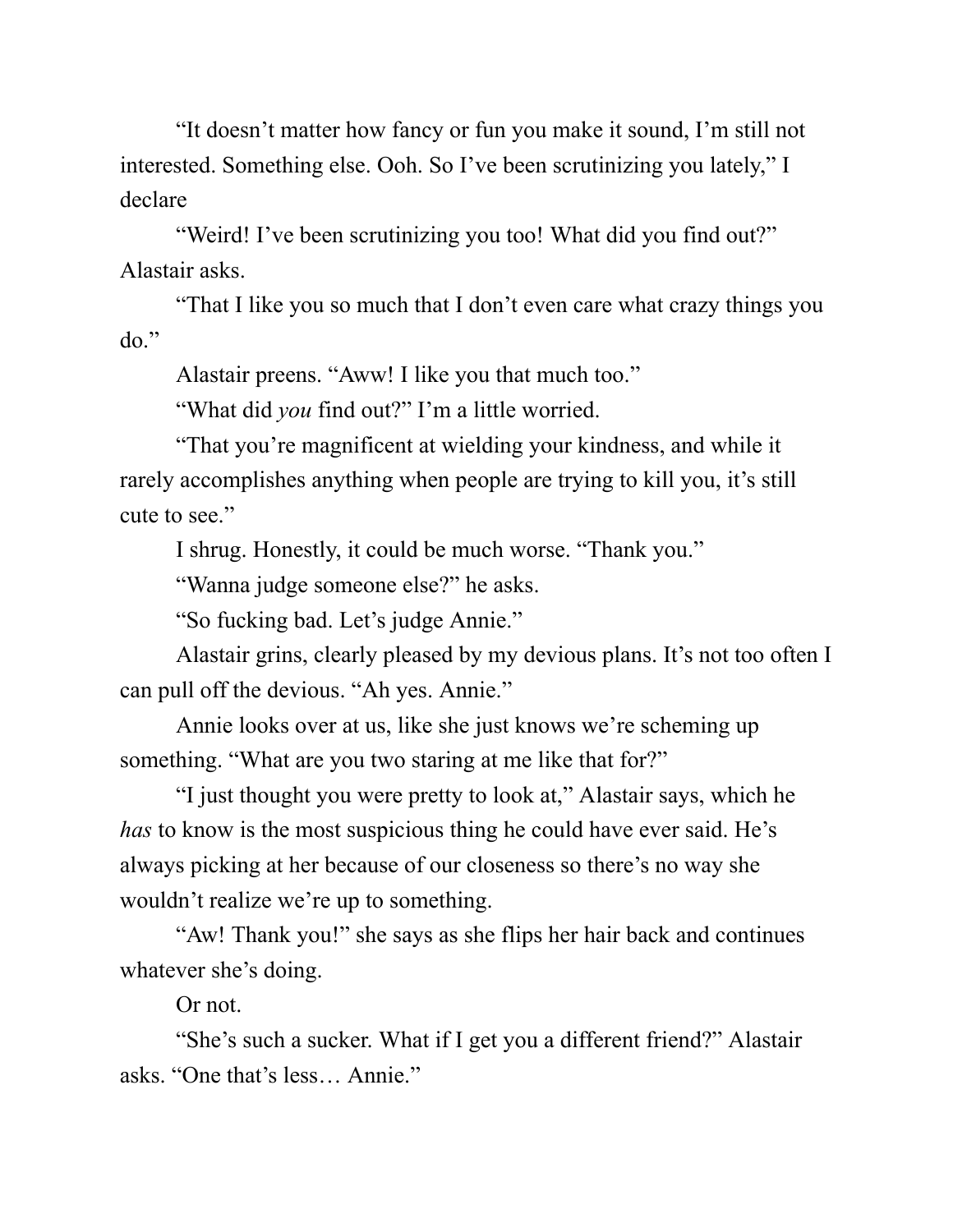"It doesn't matter how fancy or fun you make it sound, I'm still not interested. Something else. Ooh. So I've been scrutinizing you lately," I declare

"Weird! I've been scrutinizing you too! What did you find out?" Alastair asks.

"That I like you so much that I don't even care what crazy things you do."

Alastair preens. "Aww! I like you that much too."

"What did *you* find out?" I'm a little worried.

"That you're magnificent at wielding your kindness, and while it rarely accomplishes anything when people are trying to kill you, it's still cute to see."

I shrug. Honestly, it could be much worse. "Thank you."

"Wanna judge someone else?" he asks.

"So fucking bad. Let's judge Annie."

Alastair grins, clearly pleased by my devious plans. It's not too often I can pull off the devious. "Ah yes. Annie."

Annie looks over at us, like she just knows we're scheming up something. "What are you two staring at me like that for?"

"I just thought you were pretty to look at," Alastair says, which he *has* to know is the most suspicious thing he could have ever said. He's always picking at her because of our closeness so there's no way she wouldn't realize we're up to something.

"Aw! Thank you!" she says as she flips her hair back and continues whatever she's doing.

Or not.

"She's such a sucker. What if I get you a different friend?" Alastair asks. "One that's less… Annie."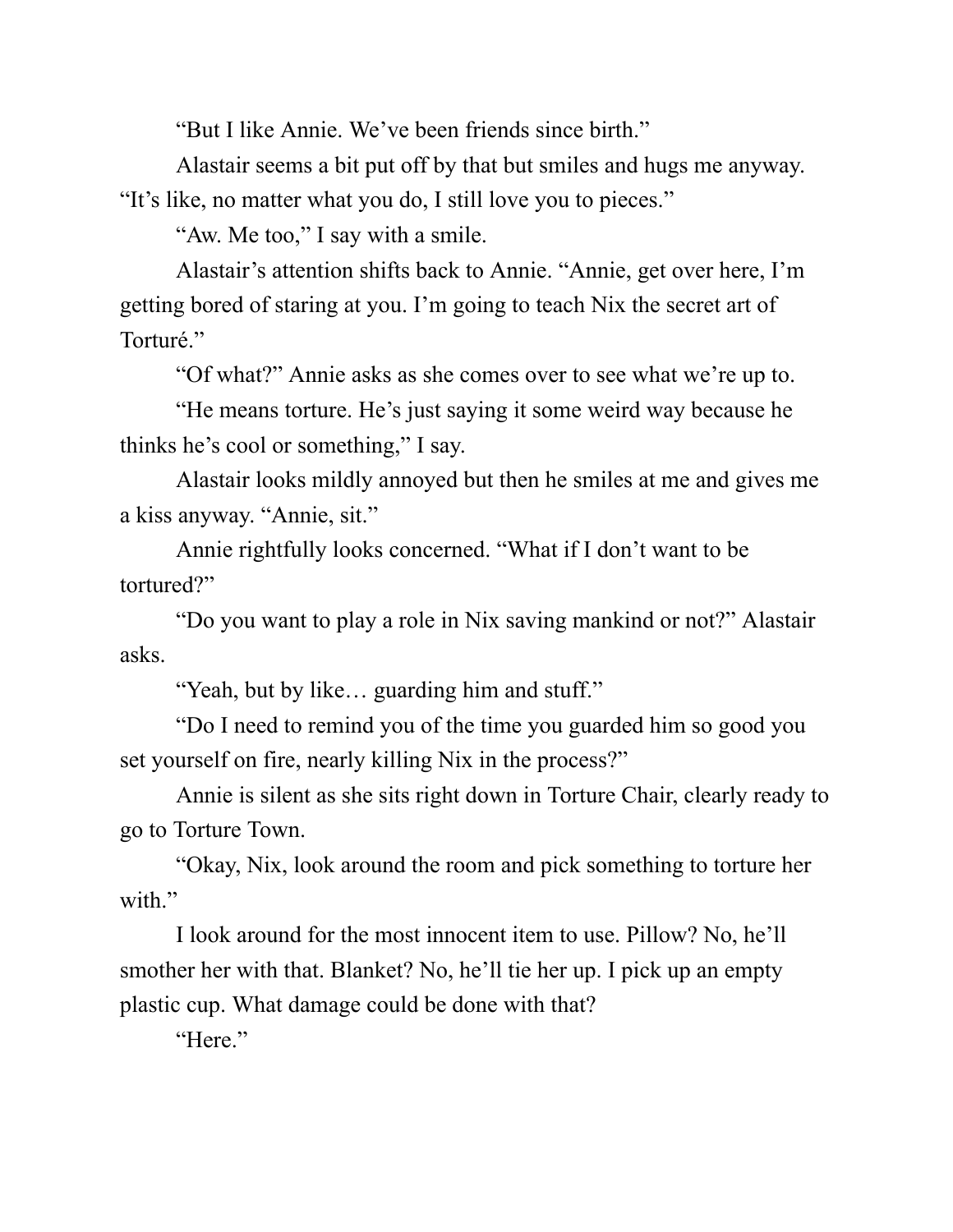"But I like Annie. We've been friends since birth."

Alastair seems a bit put off by that but smiles and hugs me anyway. "It's like, no matter what you do, I still love you to pieces."

"Aw. Me too," I say with a smile.

Alastair's attention shifts back to Annie. "Annie, get over here, I'm getting bored of staring at you. I'm going to teach Nix the secret art of Torturé."

"Of what?" Annie asks as she comes over to see what we're up to.

"He means torture. He's just saying it some weird way because he thinks he's cool or something," I say.

Alastair looks mildly annoyed but then he smiles at me and gives me a kiss anyway. "Annie, sit."

Annie rightfully looks concerned. "What if I don't want to be tortured?"

"Do you want to play a role in Nix saving mankind or not?" Alastair asks.

"Yeah, but by like… guarding him and stuff."

"Do I need to remind you of the time you guarded him so good you set yourself on fire, nearly killing Nix in the process?"

Annie is silent as she sits right down in Torture Chair, clearly ready to go to Torture Town.

"Okay, Nix, look around the room and pick something to torture her with."

I look around for the most innocent item to use. Pillow? No, he'll smother her with that. Blanket? No, he'll tie her up. I pick up an empty plastic cup. What damage could be done with that?

"Here."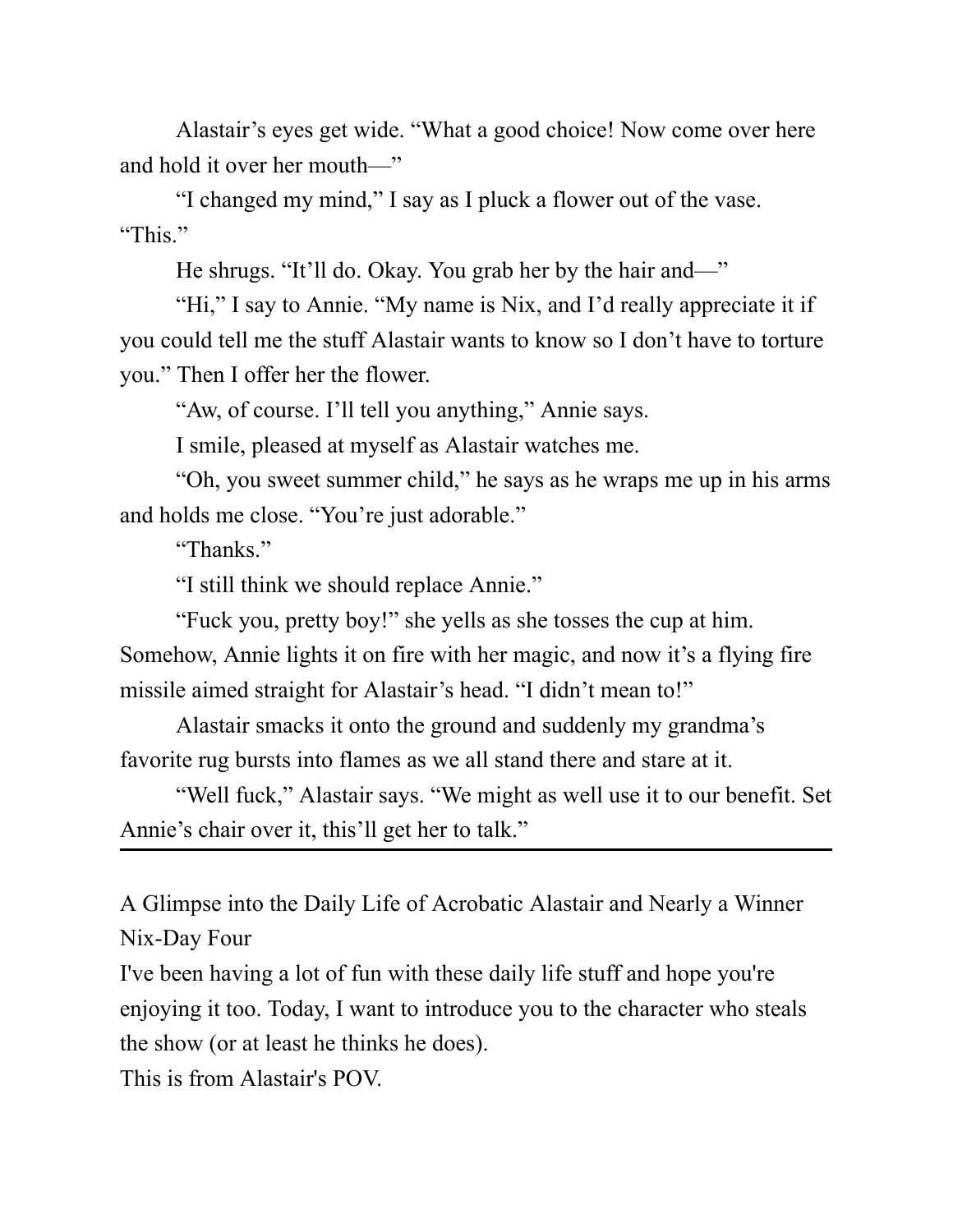Alastair's eyes get wide. "What a good choice! Now come over here and hold it over her mouth—"

"I changed my mind," I say as I pluck a flower out of the vase. "This."

He shrugs. "It'll do. Okay. You grab her by the hair and—"

"Hi," I say to Annie. "My name is Nix, and I'd really appreciate it if you could tell me the stuff Alastair wants to know so I don't have to torture you." Then I offer her the flower.

"Aw, of course. I'll tell you anything," Annie says.

I smile, pleased at myself as Alastair watches me.

"Oh, you sweet summer child," he says as he wraps me up in his arms and holds me close. "You're just adorable."

"Thanks."

"I still think we should replace Annie."

"Fuck you, pretty boy!" she yells as she tosses the cup at him.

Somehow, Annie lights it on fire with her magic, and now it's a flying fire missile aimed straight for Alastair's head. "I didn't mean to!"

Alastair smacks it onto the ground and suddenly my grandma's favorite rug bursts into flames as we all stand there and stare at it.

"Well fuck," Alastair says. "We might as well use it to our benefit. Set Annie's chair over it, this'll get her to talk."

A Glimpse into the Daily Life of Acrobatic Alastair and Nearly a Winner Nix-Day Four

I've been having a lot of fun with these daily life stuff and hope you're enjoying it too. Today, I want to introduce you to the character who steals the show (or at least he thinks he does).

This is from Alastair's POV.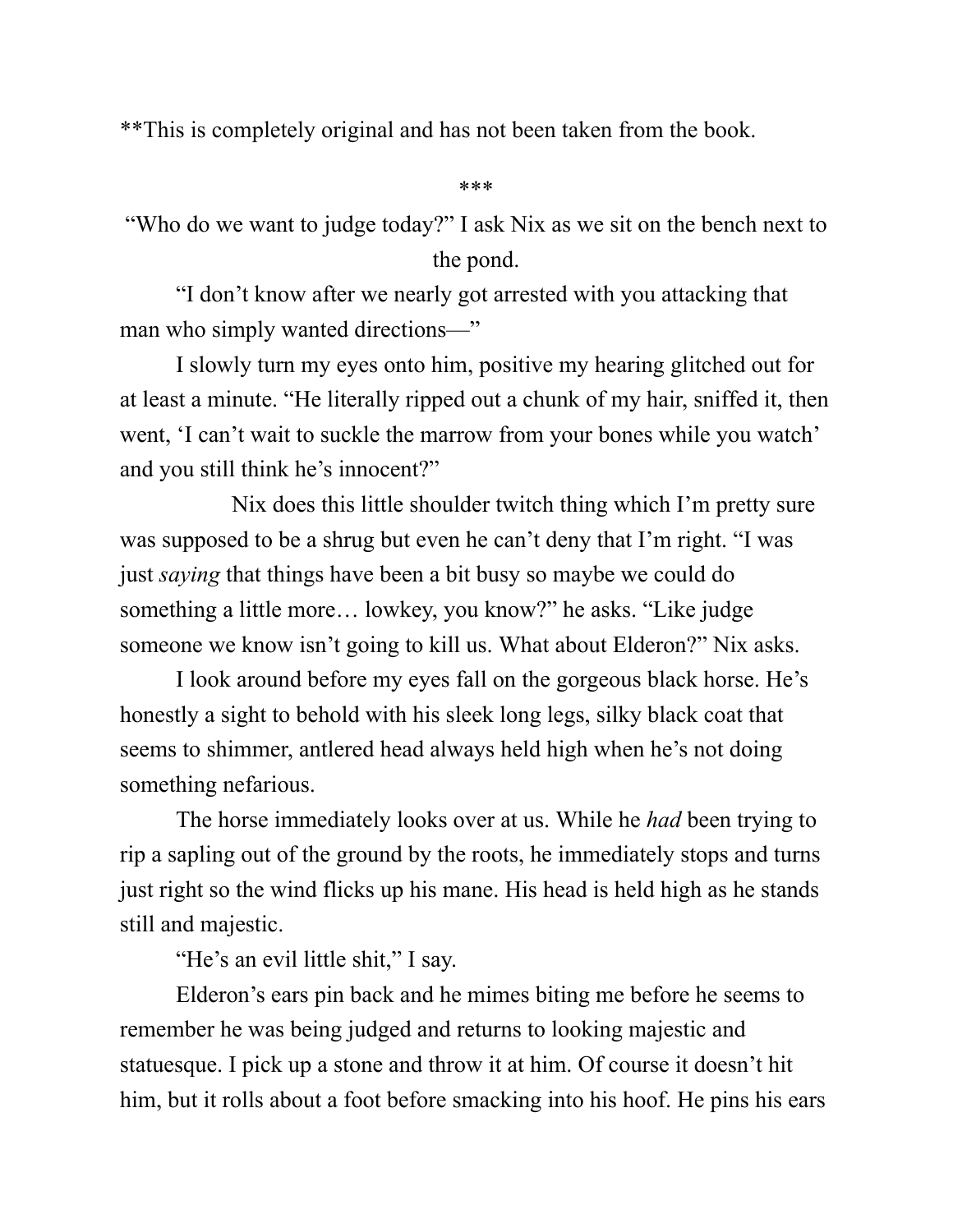\*\*This is completely original and has not been taken from the book.

\*\*\*

"Who do we want to judge today?" I ask Nix as we sit on the bench next to the pond.

"I don't know after we nearly got arrested with you attacking that man who simply wanted directions—"

I slowly turn my eyes onto him, positive my hearing glitched out for at least a minute. "He literally ripped out a chunk of my hair, sniffed it, then went, 'I can't wait to suckle the marrow from your bones while you watch' and you still think he's innocent?"

Nix does this little shoulder twitch thing which I'm pretty sure was supposed to be a shrug but even he can't deny that I'm right. "I was just *saying* that things have been a bit busy so maybe we could do something a little more… lowkey, you know?" he asks. "Like judge someone we know isn't going to kill us. What about Elderon?" Nix asks.

I look around before my eyes fall on the gorgeous black horse. He's honestly a sight to behold with his sleek long legs, silky black coat that seems to shimmer, antlered head always held high when he's not doing something nefarious.

The horse immediately looks over at us. While he *had* been trying to rip a sapling out of the ground by the roots, he immediately stops and turns just right so the wind flicks up his mane. His head is held high as he stands still and majestic.

"He's an evil little shit," I say.

Elderon's ears pin back and he mimes biting me before he seems to remember he was being judged and returns to looking majestic and statuesque. I pick up a stone and throw it at him. Of course it doesn't hit him, but it rolls about a foot before smacking into his hoof. He pins his ears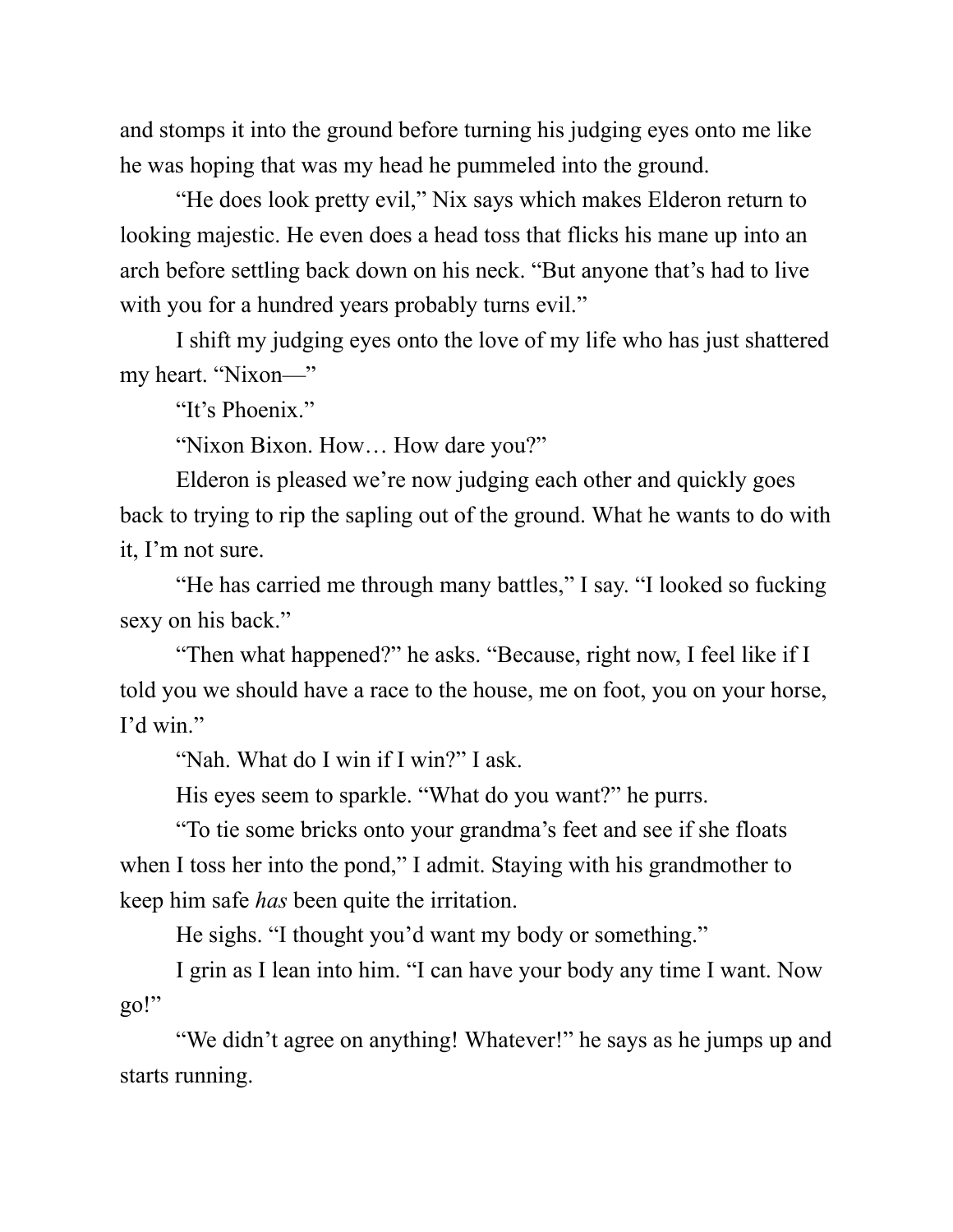and stomps it into the ground before turning his judging eyes onto me like he was hoping that was my head he pummeled into the ground.

"He does look pretty evil," Nix says which makes Elderon return to looking majestic. He even does a head toss that flicks his mane up into an arch before settling back down on his neck. "But anyone that's had to live with you for a hundred years probably turns evil."

I shift my judging eyes onto the love of my life who has just shattered my heart. "Nixon—"

"It's Phoenix."

"Nixon Bixon. How… How dare you?"

Elderon is pleased we're now judging each other and quickly goes back to trying to rip the sapling out of the ground. What he wants to do with it, I'm not sure.

"He has carried me through many battles," I say. "I looked so fucking sexy on his back."

"Then what happened?" he asks. "Because, right now, I feel like if I told you we should have a race to the house, me on foot, you on your horse, I'd win."

"Nah. What do I win if I win?" I ask.

His eyes seem to sparkle. "What do you want?" he purrs.

"To tie some bricks onto your grandma's feet and see if she floats when I toss her into the pond," I admit. Staying with his grandmother to keep him safe *has* been quite the irritation.

He sighs. "I thought you'd want my body or something."

I grin as I lean into him. "I can have your body any time I want. Now go!"

"We didn't agree on anything! Whatever!" he says as he jumps up and starts running.